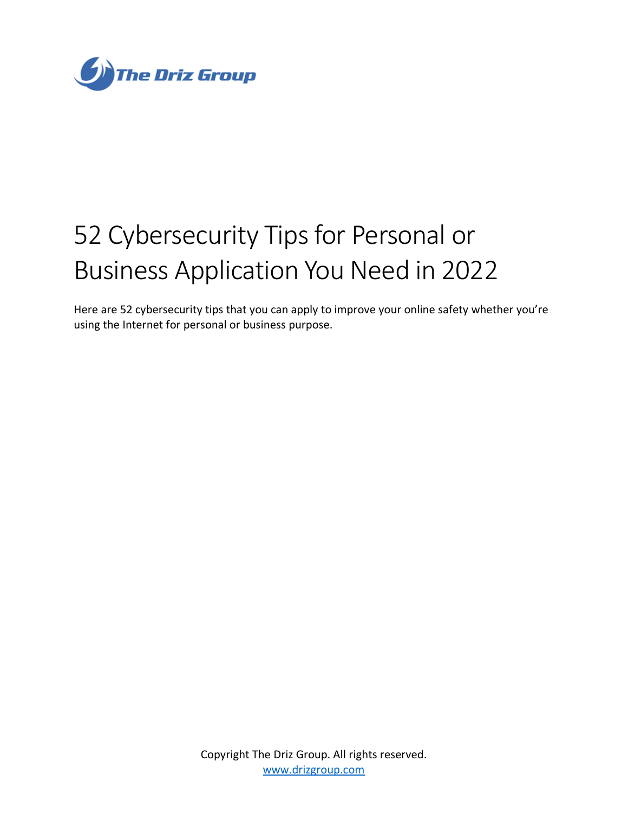

# 52 Cybersecurity Tips for Personal or Business Application You Need in 2022

Here are 52 cybersecurity tips that you can apply to improve your online safety whether you're using the Internet for personal or business purpose.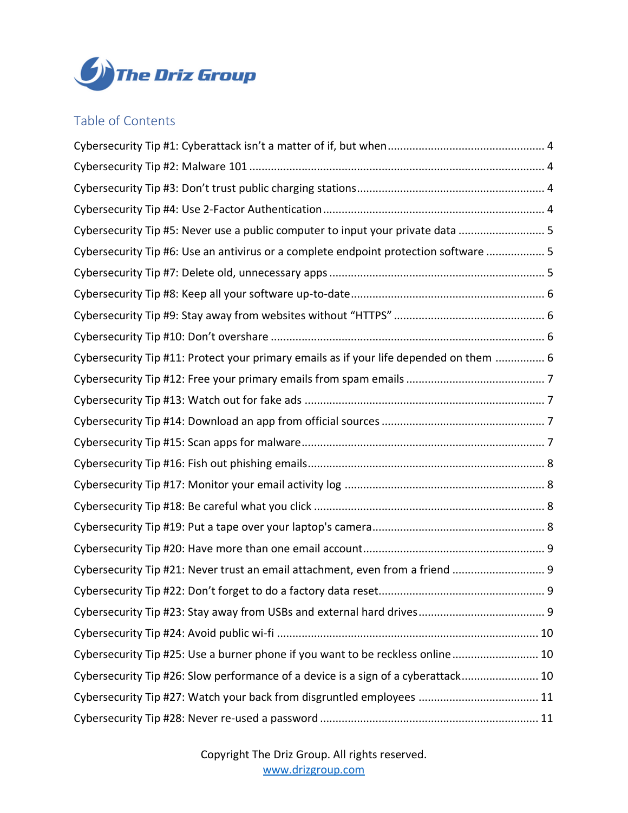

## Table of Contents

| Cybersecurity Tip #5: Never use a public computer to input your private data  5        |  |
|----------------------------------------------------------------------------------------|--|
| Cybersecurity Tip #6: Use an antivirus or a complete endpoint protection software  5   |  |
|                                                                                        |  |
|                                                                                        |  |
|                                                                                        |  |
|                                                                                        |  |
| Cybersecurity Tip #11: Protect your primary emails as if your life depended on them  6 |  |
|                                                                                        |  |
|                                                                                        |  |
|                                                                                        |  |
|                                                                                        |  |
|                                                                                        |  |
|                                                                                        |  |
|                                                                                        |  |
|                                                                                        |  |
|                                                                                        |  |
| Cybersecurity Tip #21: Never trust an email attachment, even from a friend  9          |  |
|                                                                                        |  |
|                                                                                        |  |
|                                                                                        |  |
| Cybersecurity Tip #25: Use a burner phone if you want to be reckless online 10         |  |
| Cybersecurity Tip #26: Slow performance of a device is a sign of a cyberattack 10      |  |
|                                                                                        |  |
|                                                                                        |  |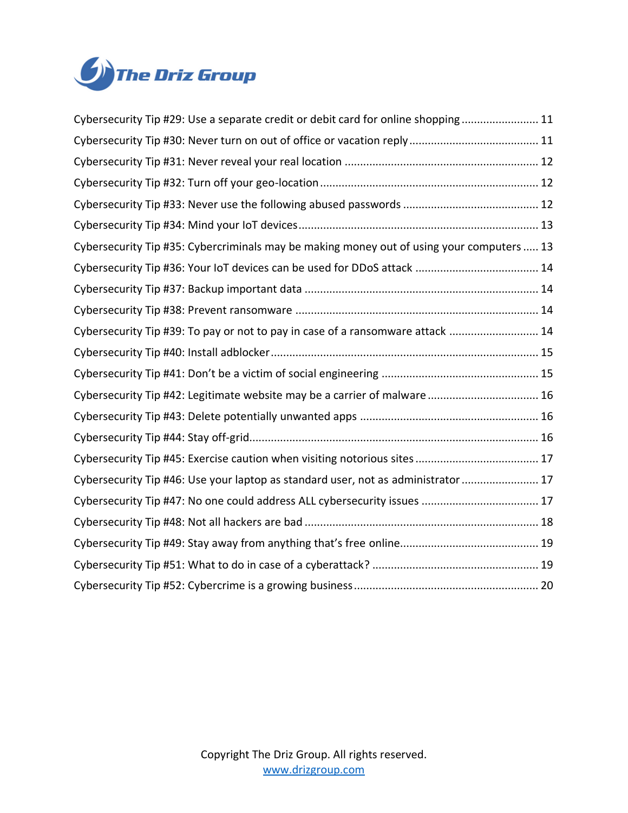

| Cybersecurity Tip #29: Use a separate credit or debit card for online shopping 11         |
|-------------------------------------------------------------------------------------------|
|                                                                                           |
|                                                                                           |
|                                                                                           |
|                                                                                           |
|                                                                                           |
| Cybersecurity Tip #35: Cybercriminals may be making money out of using your computers  13 |
|                                                                                           |
|                                                                                           |
|                                                                                           |
| Cybersecurity Tip #39: To pay or not to pay in case of a ransomware attack  14            |
|                                                                                           |
|                                                                                           |
| Cybersecurity Tip #42: Legitimate website may be a carrier of malware  16                 |
|                                                                                           |
|                                                                                           |
|                                                                                           |
| Cybersecurity Tip #46: Use your laptop as standard user, not as administrator  17         |
|                                                                                           |
|                                                                                           |
|                                                                                           |
|                                                                                           |
|                                                                                           |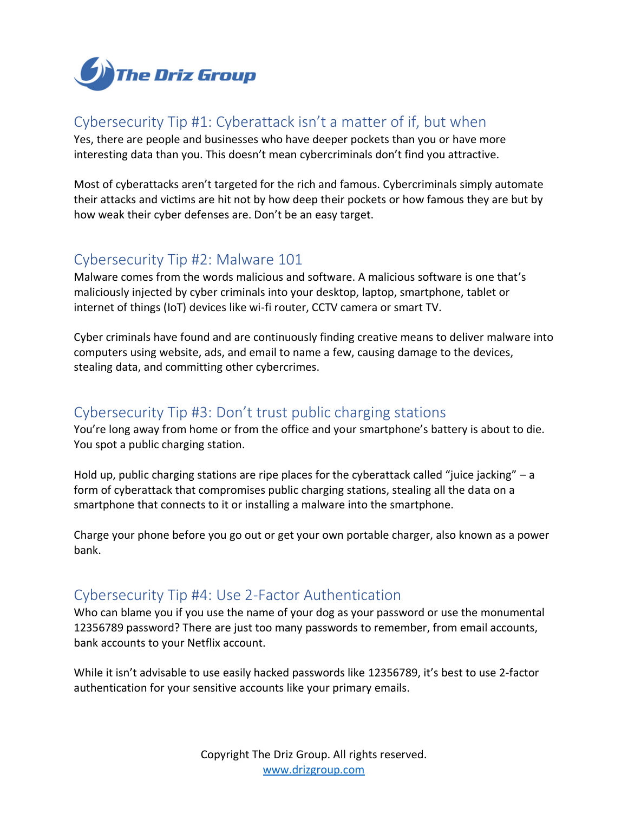

# <span id="page-3-0"></span>Cybersecurity Tip #1: Cyberattack isn't a matter of if, but when

Yes, there are people and businesses who have deeper pockets than you or have more interesting data than you. This doesn't mean cybercriminals don't find you attractive.

Most of cyberattacks aren't targeted for the rich and famous. Cybercriminals simply automate their attacks and victims are hit not by how deep their pockets or how famous they are but by how weak their cyber defenses are. Don't be an easy target.

## <span id="page-3-1"></span>Cybersecurity Tip #2: Malware 101

Malware comes from the words malicious and software. A malicious software is one that's maliciously injected by cyber criminals into your desktop, laptop, smartphone, tablet or internet of things (IoT) devices like wi-fi router, CCTV camera or smart TV.

Cyber criminals have found and are continuously finding creative means to deliver malware into computers using website, ads, and email to name a few, causing damage to the devices, stealing data, and committing other cybercrimes.

# <span id="page-3-2"></span>Cybersecurity Tip #3: Don't trust public charging stations

You're long away from home or from the office and your smartphone's battery is about to die. You spot a public charging station.

Hold up, public charging stations are ripe places for the cyberattack called "juice jacking" – a form of cyberattack that compromises public charging stations, stealing all the data on a smartphone that connects to it or installing a malware into the smartphone.

Charge your phone before you go out or get your own portable charger, also known as a power bank.

#### <span id="page-3-3"></span>Cybersecurity Tip #4: Use 2-Factor Authentication

Who can blame you if you use the name of your dog as your password or use the monumental 12356789 password? There are just too many passwords to remember, from email accounts, bank accounts to your Netflix account.

While it isn't advisable to use easily hacked passwords like 12356789, it's best to use 2-factor authentication for your sensitive accounts like your primary emails.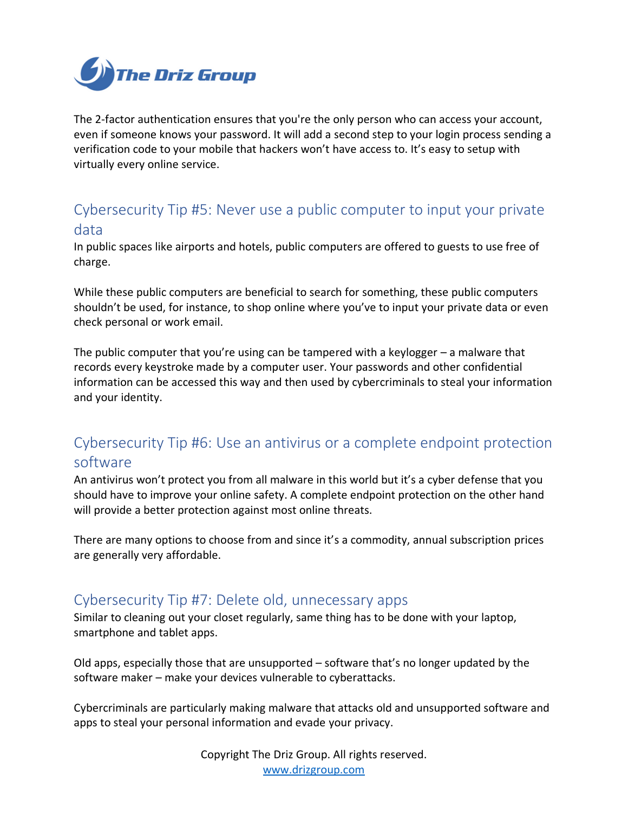

The 2-factor authentication ensures that you're the only person who can access your account, even if someone knows your password. It will add a second step to your login process sending a verification code to your mobile that hackers won't have access to. It's easy to setup with virtually every online service.

# <span id="page-4-0"></span>Cybersecurity Tip #5: Never use a public computer to input your private data

In public spaces like airports and hotels, public computers are offered to guests to use free of charge.

While these public computers are beneficial to search for something, these public computers shouldn't be used, for instance, to shop online where you've to input your private data or even check personal or work email.

The public computer that you're using can be tampered with a keylogger – a malware that records every keystroke made by a computer user. Your passwords and other confidential information can be accessed this way and then used by cybercriminals to steal your information and your identity.

# <span id="page-4-1"></span>Cybersecurity Tip #6: Use an antivirus or a complete endpoint protection software

An antivirus won't protect you from all malware in this world but it's a cyber defense that you should have to improve your online safety. A complete endpoint protection on the other hand will provide a better protection against most online threats.

There are many options to choose from and since it's a commodity, annual subscription prices are generally very affordable.

#### <span id="page-4-2"></span>Cybersecurity Tip #7: Delete old, unnecessary apps

Similar to cleaning out your closet regularly, same thing has to be done with your laptop, smartphone and tablet apps.

Old apps, especially those that are unsupported – software that's no longer updated by the software maker – make your devices vulnerable to cyberattacks.

Cybercriminals are particularly making malware that attacks old and unsupported software and apps to steal your personal information and evade your privacy.

> Copyright The Driz Group. All rights reserved. [www.drizgroup.com](mailto:https://www.drizgroup.com)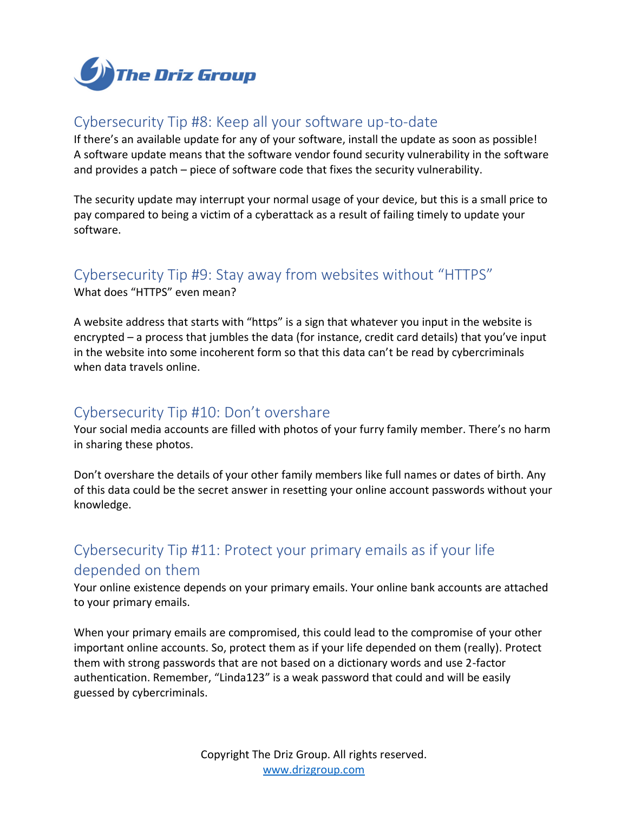

# <span id="page-5-0"></span>Cybersecurity Tip #8: Keep all your software up-to-date

If there's an available update for any of your software, install the update as soon as possible! A software update means that the software vendor found security vulnerability in the software and provides a patch – piece of software code that fixes the security vulnerability.

The security update may interrupt your normal usage of your device, but this is a small price to pay compared to being a victim of a cyberattack as a result of failing timely to update your software.

# <span id="page-5-1"></span>Cybersecurity Tip #9: Stay away from websites without "HTTPS"

What does "HTTPS" even mean?

A website address that starts with "https" is a sign that whatever you input in the website is encrypted – a process that jumbles the data (for instance, credit card details) that you've input in the website into some incoherent form so that this data can't be read by cybercriminals when data travels online.

#### <span id="page-5-2"></span>Cybersecurity Tip #10: Don't overshare

Your social media accounts are filled with photos of your furry family member. There's no harm in sharing these photos.

Don't overshare the details of your other family members like full names or dates of birth. Any of this data could be the secret answer in resetting your online account passwords without your knowledge.

# <span id="page-5-3"></span>Cybersecurity Tip #11: Protect your primary emails as if your life depended on them

Your online existence depends on your primary emails. Your online bank accounts are attached to your primary emails.

When your primary emails are compromised, this could lead to the compromise of your other important online accounts. So, protect them as if your life depended on them (really). Protect them with strong passwords that are not based on a dictionary words and use 2-factor authentication. Remember, "Linda123" is a weak password that could and will be easily guessed by cybercriminals.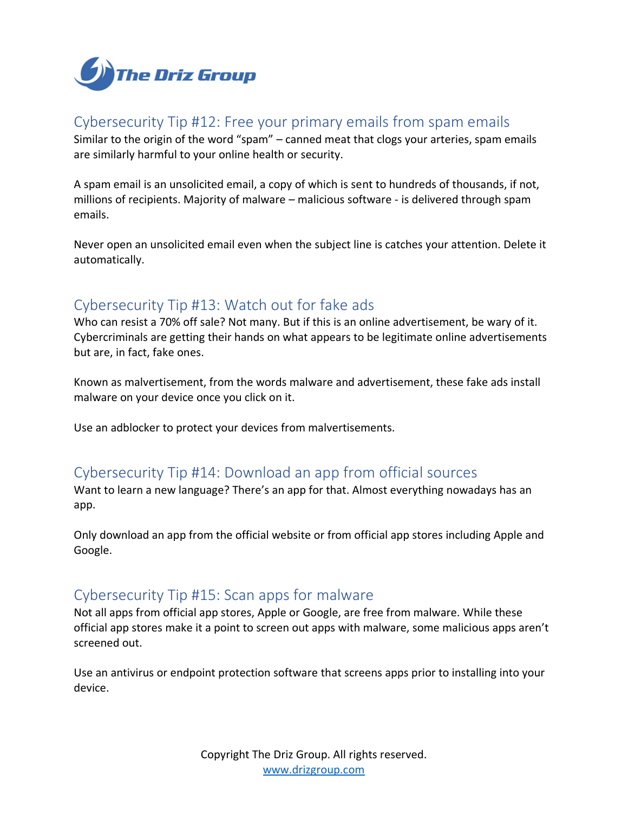

# <span id="page-6-0"></span>Cybersecurity Tip #12: Free your primary emails from spam emails

Similar to the origin of the word "spam" – canned meat that clogs your arteries, spam emails are similarly harmful to your online health or security.

A spam email is an unsolicited email, a copy of which is sent to hundreds of thousands, if not, millions of recipients. Majority of malware – malicious software - is delivered through spam emails.

Never open an unsolicited email even when the subject line is catches your attention. Delete it automatically.

#### <span id="page-6-1"></span>Cybersecurity Tip #13: Watch out for fake ads

Who can resist a 70% off sale? Not many. But if this is an online advertisement, be wary of it. Cybercriminals are getting their hands on what appears to be legitimate online advertisements but are, in fact, fake ones.

Known as malvertisement, from the words malware and advertisement, these fake ads install malware on your device once you click on it.

Use an adblocker to protect your devices from malvertisements.

#### <span id="page-6-2"></span>Cybersecurity Tip #14: Download an app from official sources

Want to learn a new language? There's an app for that. Almost everything nowadays has an app.

Only download an app from the official website or from official app stores including Apple and Google.

# <span id="page-6-3"></span>Cybersecurity Tip #15: Scan apps for malware

Not all apps from official app stores, Apple or Google, are free from malware. While these official app stores make it a point to screen out apps with malware, some malicious apps aren't screened out.

Use an antivirus or endpoint protection software that screens apps prior to installing into your device.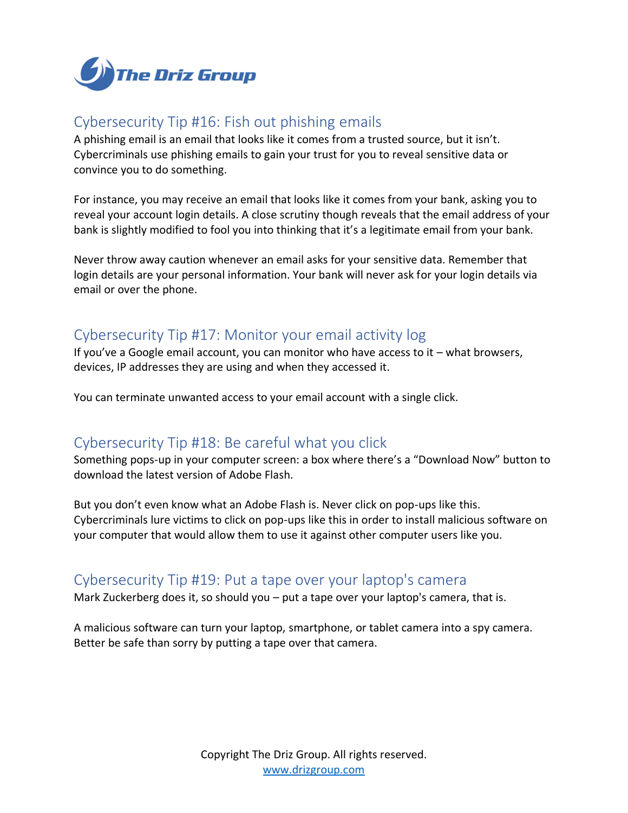

# <span id="page-7-0"></span>Cybersecurity Tip #16: Fish out phishing emails

A phishing email is an email that looks like it comes from a trusted source, but it isn't. Cybercriminals use phishing emails to gain your trust for you to reveal sensitive data or convince you to do something.

For instance, you may receive an email that looks like it comes from your bank, asking you to reveal your account login details. A close scrutiny though reveals that the email address of your bank is slightly modified to fool you into thinking that it's a legitimate email from your bank.

Never throw away caution whenever an email asks for your sensitive data. Remember that login details are your personal information. Your bank will never ask for your login details via email or over the phone.

# <span id="page-7-1"></span>Cybersecurity Tip #17: Monitor your email activity log

If you've a Google email account, you can monitor who have access to it – what browsers, devices, IP addresses they are using and when they accessed it.

You can terminate unwanted access to your email account with a single click.

#### <span id="page-7-2"></span>Cybersecurity Tip #18: Be careful what you click

Something pops-up in your computer screen: a box where there's a "Download Now" button to download the latest version of Adobe Flash.

But you don't even know what an Adobe Flash is. Never click on pop-ups like this. Cybercriminals lure victims to click on pop-ups like this in order to install malicious software on your computer that would allow them to use it against other computer users like you.

#### <span id="page-7-3"></span>Cybersecurity Tip #19: Put a tape over your laptop's camera

Mark Zuckerberg does it, so should you – put a tape over your laptop's camera, that is.

A malicious software can turn your laptop, smartphone, or tablet camera into a spy camera. Better be safe than sorry by putting a tape over that camera.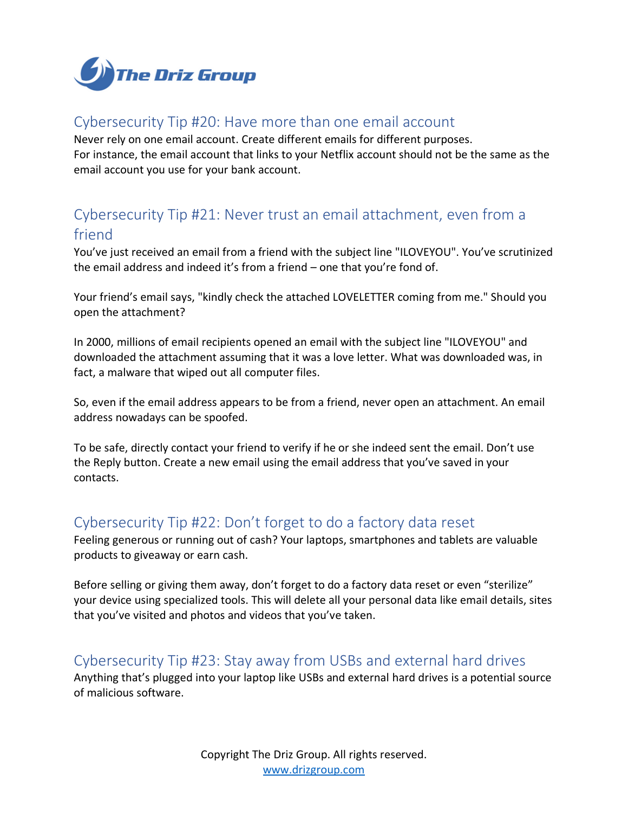

## <span id="page-8-0"></span>Cybersecurity Tip #20: Have more than one email account

Never rely on one email account. Create different emails for different purposes. For instance, the email account that links to your Netflix account should not be the same as the email account you use for your bank account.

# <span id="page-8-1"></span>Cybersecurity Tip #21: Never trust an email attachment, even from a friend

You've just received an email from a friend with the subject line "ILOVEYOU". You've scrutinized the email address and indeed it's from a friend – one that you're fond of.

Your friend's email says, "kindly check the attached LOVELETTER coming from me." Should you open the attachment?

In 2000, millions of email recipients opened an email with the subject line "ILOVEYOU" and downloaded the attachment assuming that it was a love letter. What was downloaded was, in fact, a malware that wiped out all computer files.

So, even if the email address appears to be from a friend, never open an attachment. An email address nowadays can be spoofed.

To be safe, directly contact your friend to verify if he or she indeed sent the email. Don't use the Reply button. Create a new email using the email address that you've saved in your contacts.

#### <span id="page-8-2"></span>Cybersecurity Tip #22: Don't forget to do a factory data reset

Feeling generous or running out of cash? Your laptops, smartphones and tablets are valuable products to giveaway or earn cash.

Before selling or giving them away, don't forget to do a factory data reset or even "sterilize" your device using specialized tools. This will delete all your personal data like email details, sites that you've visited and photos and videos that you've taken.

#### <span id="page-8-3"></span>Cybersecurity Tip #23: Stay away from USBs and external hard drives

Anything that's plugged into your laptop like USBs and external hard drives is a potential source of malicious software.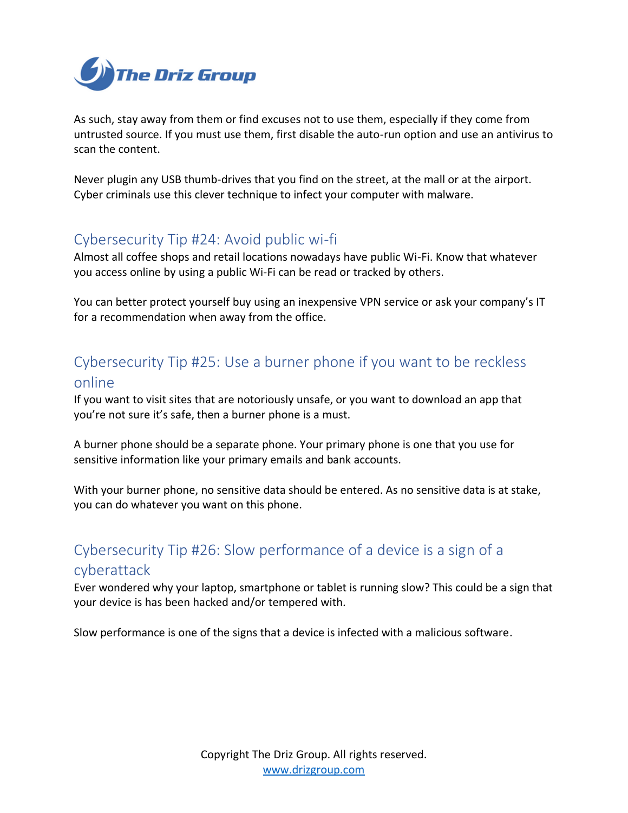

As such, stay away from them or find excuses not to use them, especially if they come from untrusted source. If you must use them, first disable the auto-run option and use an antivirus to scan the content.

Never plugin any USB thumb-drives that you find on the street, at the mall or at the airport. Cyber criminals use this clever technique to infect your computer with malware.

## <span id="page-9-0"></span>Cybersecurity Tip #24: Avoid public wi-fi

Almost all coffee shops and retail locations nowadays have public Wi-Fi. Know that whatever you access online by using a public Wi-Fi can be read or tracked by others.

You can better protect yourself buy using an inexpensive VPN service or ask your company's IT for a recommendation when away from the office.

# <span id="page-9-1"></span>Cybersecurity Tip #25: Use a burner phone if you want to be reckless online

If you want to visit sites that are notoriously unsafe, or you want to download an app that you're not sure it's safe, then a burner phone is a must.

A burner phone should be a separate phone. Your primary phone is one that you use for sensitive information like your primary emails and bank accounts.

With your burner phone, no sensitive data should be entered. As no sensitive data is at stake, you can do whatever you want on this phone.

# <span id="page-9-2"></span>Cybersecurity Tip #26: Slow performance of a device is a sign of a cyberattack

Ever wondered why your laptop, smartphone or tablet is running slow? This could be a sign that your device is has been hacked and/or tempered with.

Slow performance is one of the signs that a device is infected with a malicious software.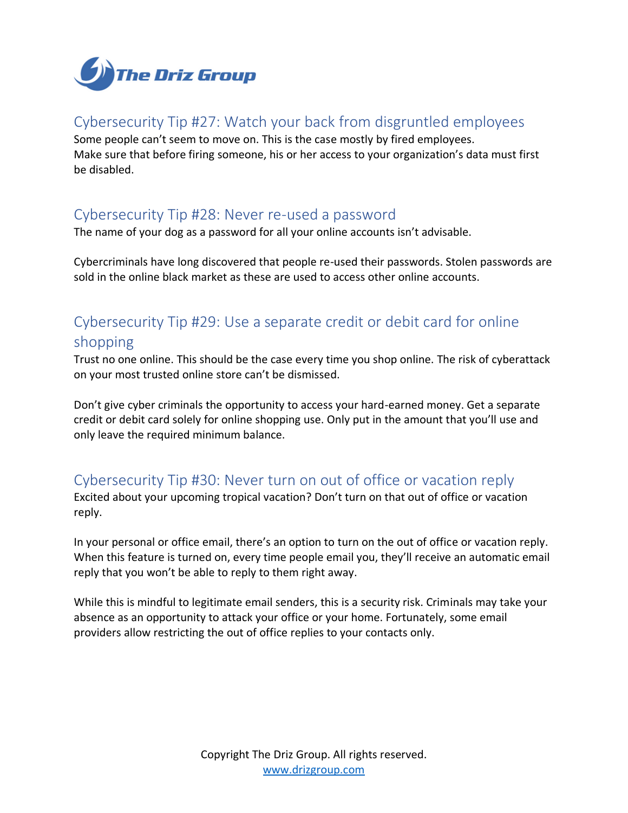

## <span id="page-10-0"></span>Cybersecurity Tip #27: Watch your back from disgruntled employees

Some people can't seem to move on. This is the case mostly by fired employees. Make sure that before firing someone, his or her access to your organization's data must first be disabled.

#### <span id="page-10-1"></span>Cybersecurity Tip #28: Never re-used a password

The name of your dog as a password for all your online accounts isn't advisable.

Cybercriminals have long discovered that people re-used their passwords. Stolen passwords are sold in the online black market as these are used to access other online accounts.

# <span id="page-10-2"></span>Cybersecurity Tip #29: Use a separate credit or debit card for online shopping

Trust no one online. This should be the case every time you shop online. The risk of cyberattack on your most trusted online store can't be dismissed.

Don't give cyber criminals the opportunity to access your hard-earned money. Get a separate credit or debit card solely for online shopping use. Only put in the amount that you'll use and only leave the required minimum balance.

#### <span id="page-10-3"></span>Cybersecurity Tip #30: Never turn on out of office or vacation reply

Excited about your upcoming tropical vacation? Don't turn on that out of office or vacation reply.

In your personal or office email, there's an option to turn on the out of office or vacation reply. When this feature is turned on, every time people email you, they'll receive an automatic email reply that you won't be able to reply to them right away.

While this is mindful to legitimate email senders, this is a security risk. Criminals may take your absence as an opportunity to attack your office or your home. Fortunately, some email providers allow restricting the out of office replies to your contacts only.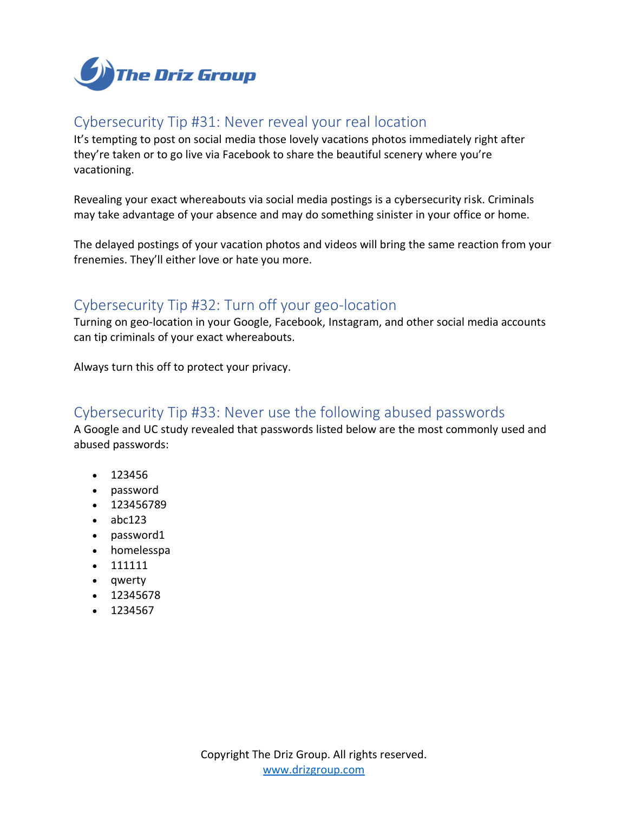

## <span id="page-11-0"></span>Cybersecurity Tip #31: Never reveal your real location

It's tempting to post on social media those lovely vacations photos immediately right after they're taken or to go live via Facebook to share the beautiful scenery where you're vacationing.

Revealing your exact whereabouts via social media postings is a cybersecurity risk. Criminals may take advantage of your absence and may do something sinister in your office or home.

The delayed postings of your vacation photos and videos will bring the same reaction from your frenemies. They'll either love or hate you more.

#### <span id="page-11-1"></span>Cybersecurity Tip #32: Turn off your geo-location

Turning on geo-location in your Google, Facebook, Instagram, and other social media accounts can tip criminals of your exact whereabouts.

Always turn this off to protect your privacy.

# <span id="page-11-2"></span>Cybersecurity Tip #33: Never use the following abused passwords

A Google and UC study revealed that passwords listed below are the most commonly used and abused passwords:

- 123456
- password
- 123456789
- abc123
- password1
- homelesspa
- 111111
- qwerty
- 12345678
- 1234567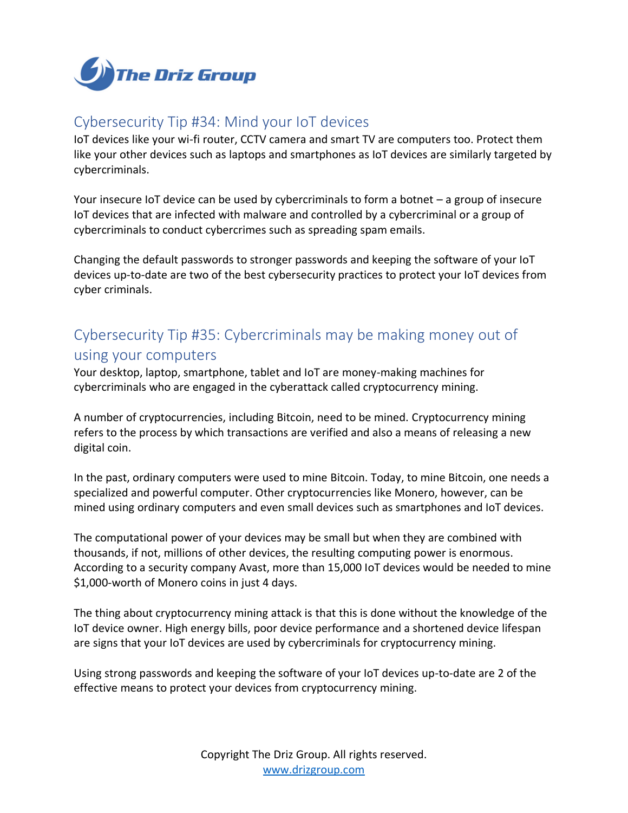

# <span id="page-12-0"></span>Cybersecurity Tip #34: Mind your IoT devices

IoT devices like your wi-fi router, CCTV camera and smart TV are computers too. Protect them like your other devices such as laptops and smartphones as IoT devices are similarly targeted by cybercriminals.

Your insecure IoT device can be used by cybercriminals to form a botnet – a group of insecure IoT devices that are infected with malware and controlled by a cybercriminal or a group of cybercriminals to conduct cybercrimes such as spreading spam emails.

Changing the default passwords to stronger passwords and keeping the software of your IoT devices up-to-date are two of the best cybersecurity practices to protect your IoT devices from cyber criminals.

# <span id="page-12-1"></span>Cybersecurity Tip #35: Cybercriminals may be making money out of using your computers

Your desktop, laptop, smartphone, tablet and IoT are money-making machines for cybercriminals who are engaged in the cyberattack called cryptocurrency mining.

A number of cryptocurrencies, including Bitcoin, need to be mined. Cryptocurrency mining refers to the process by which transactions are verified and also a means of releasing a new digital coin.

In the past, ordinary computers were used to mine Bitcoin. Today, to mine Bitcoin, one needs a specialized and powerful computer. Other cryptocurrencies like Monero, however, can be mined using ordinary computers and even small devices such as smartphones and IoT devices.

The computational power of your devices may be small but when they are combined with thousands, if not, millions of other devices, the resulting computing power is enormous. According to a security company Avast, more than 15,000 IoT devices would be needed to mine \$1,000-worth of Monero coins in just 4 days.

The thing about cryptocurrency mining attack is that this is done without the knowledge of the IoT device owner. High energy bills, poor device performance and a shortened device lifespan are signs that your IoT devices are used by cybercriminals for cryptocurrency mining.

Using strong passwords and keeping the software of your IoT devices up-to-date are 2 of the effective means to protect your devices from cryptocurrency mining.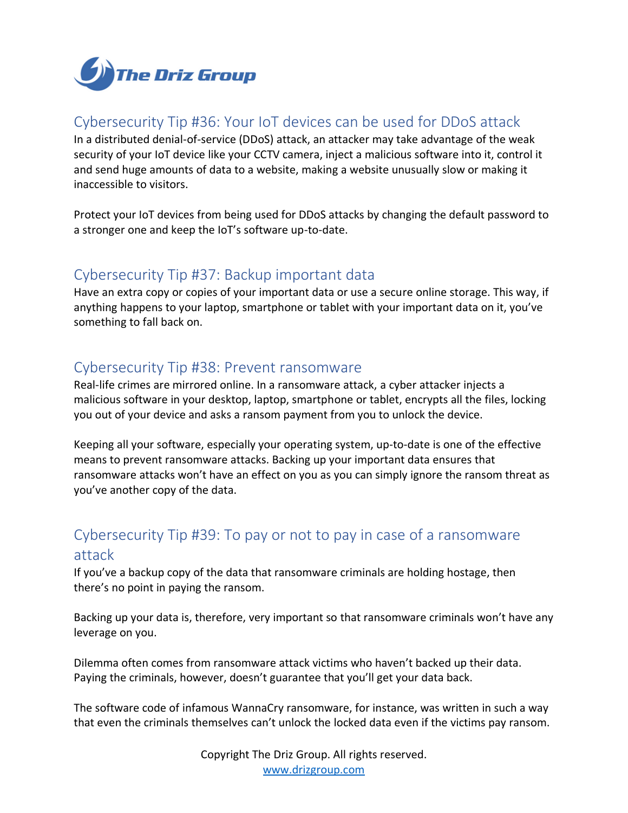

# <span id="page-13-0"></span>Cybersecurity Tip #36: Your IoT devices can be used for DDoS attack

In a distributed denial-of-service (DDoS) attack, an attacker may take advantage of the weak security of your IoT device like your CCTV camera, inject a malicious software into it, control it and send huge amounts of data to a website, making a website unusually slow or making it inaccessible to visitors.

Protect your IoT devices from being used for DDoS attacks by changing the default password to a stronger one and keep the IoT's software up-to-date.

# <span id="page-13-1"></span>Cybersecurity Tip #37: Backup important data

Have an extra copy or copies of your important data or use a secure online storage. This way, if anything happens to your laptop, smartphone or tablet with your important data on it, you've something to fall back on.

## <span id="page-13-2"></span>Cybersecurity Tip #38: Prevent ransomware

Real-life crimes are mirrored online. In a ransomware attack, a cyber attacker injects a malicious software in your desktop, laptop, smartphone or tablet, encrypts all the files, locking you out of your device and asks a ransom payment from you to unlock the device.

Keeping all your software, especially your operating system, up-to-date is one of the effective means to prevent ransomware attacks. Backing up your important data ensures that ransomware attacks won't have an effect on you as you can simply ignore the ransom threat as you've another copy of the data.

# <span id="page-13-3"></span>Cybersecurity Tip #39: To pay or not to pay in case of a ransomware attack

If you've a backup copy of the data that ransomware criminals are holding hostage, then there's no point in paying the ransom.

Backing up your data is, therefore, very important so that ransomware criminals won't have any leverage on you.

Dilemma often comes from ransomware attack victims who haven't backed up their data. Paying the criminals, however, doesn't guarantee that you'll get your data back.

The software code of infamous WannaCry ransomware, for instance, was written in such a way that even the criminals themselves can't unlock the locked data even if the victims pay ransom.

> Copyright The Driz Group. All rights reserved. [www.drizgroup.com](mailto:https://www.drizgroup.com)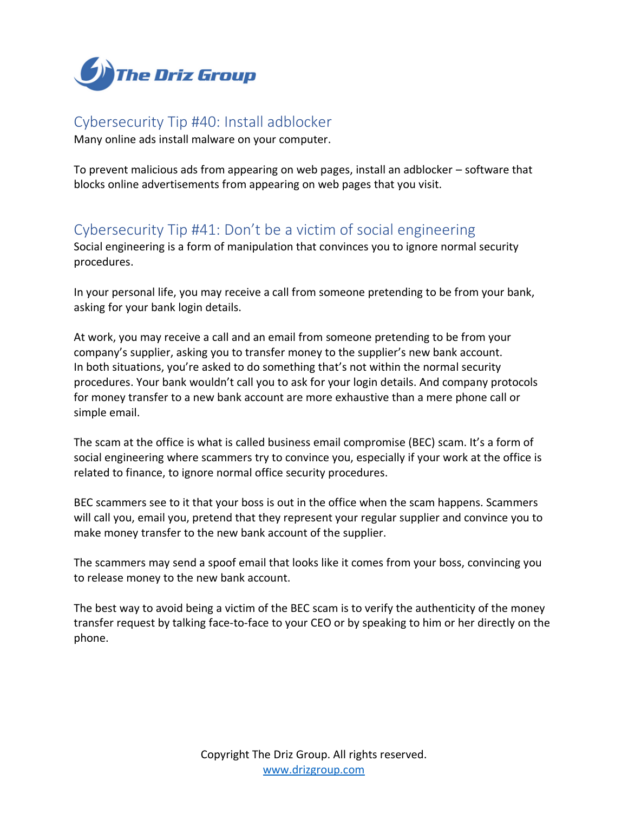

## <span id="page-14-0"></span>Cybersecurity Tip #40: Install adblocker

Many online ads install malware on your computer.

To prevent malicious ads from appearing on web pages, install an adblocker – software that blocks online advertisements from appearing on web pages that you visit.

# <span id="page-14-1"></span>Cybersecurity Tip #41: Don't be a victim of social engineering

Social engineering is a form of manipulation that convinces you to ignore normal security procedures.

In your personal life, you may receive a call from someone pretending to be from your bank, asking for your bank login details.

At work, you may receive a call and an email from someone pretending to be from your company's supplier, asking you to transfer money to the supplier's new bank account. In both situations, you're asked to do something that's not within the normal security procedures. Your bank wouldn't call you to ask for your login details. And company protocols for money transfer to a new bank account are more exhaustive than a mere phone call or simple email.

The scam at the office is what is called business email compromise (BEC) scam. It's a form of social engineering where scammers try to convince you, especially if your work at the office is related to finance, to ignore normal office security procedures.

BEC scammers see to it that your boss is out in the office when the scam happens. Scammers will call you, email you, pretend that they represent your regular supplier and convince you to make money transfer to the new bank account of the supplier.

The scammers may send a spoof email that looks like it comes from your boss, convincing you to release money to the new bank account.

The best way to avoid being a victim of the BEC scam is to verify the authenticity of the money transfer request by talking face-to-face to your CEO or by speaking to him or her directly on the phone.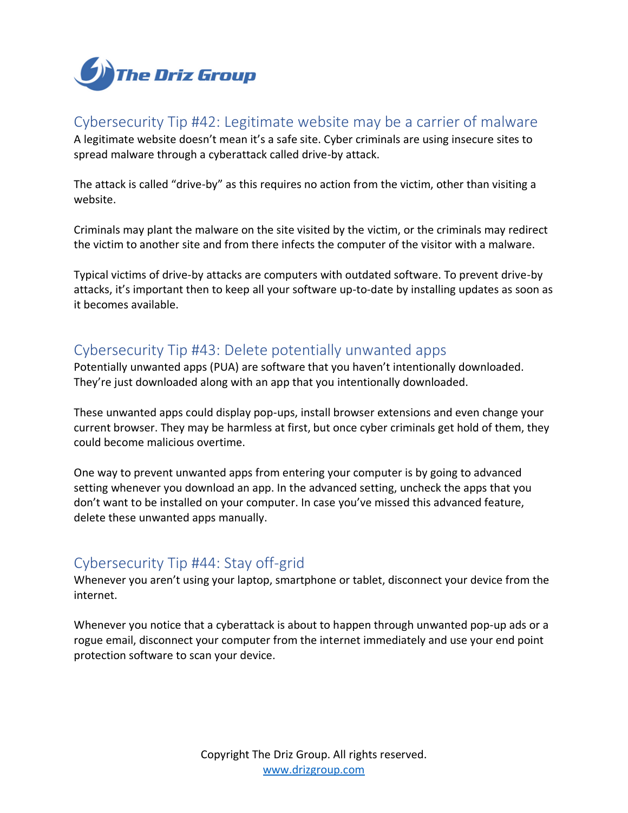

# <span id="page-15-0"></span>Cybersecurity Tip #42: Legitimate website may be a carrier of malware

A legitimate website doesn't mean it's a safe site. Cyber criminals are using insecure sites to spread malware through a cyberattack called drive-by attack.

The attack is called "drive-by" as this requires no action from the victim, other than visiting a website.

Criminals may plant the malware on the site visited by the victim, or the criminals may redirect the victim to another site and from there infects the computer of the visitor with a malware.

Typical victims of drive-by attacks are computers with outdated software. To prevent drive-by attacks, it's important then to keep all your software up-to-date by installing updates as soon as it becomes available.

## <span id="page-15-1"></span>Cybersecurity Tip #43: Delete potentially unwanted apps

Potentially unwanted apps (PUA) are software that you haven't intentionally downloaded. They're just downloaded along with an app that you intentionally downloaded.

These unwanted apps could display pop-ups, install browser extensions and even change your current browser. They may be harmless at first, but once cyber criminals get hold of them, they could become malicious overtime.

One way to prevent unwanted apps from entering your computer is by going to advanced setting whenever you download an app. In the advanced setting, uncheck the apps that you don't want to be installed on your computer. In case you've missed this advanced feature, delete these unwanted apps manually.

# <span id="page-15-2"></span>Cybersecurity Tip #44: Stay off-grid

Whenever you aren't using your laptop, smartphone or tablet, disconnect your device from the internet.

Whenever you notice that a cyberattack is about to happen through unwanted pop-up ads or a rogue email, disconnect your computer from the internet immediately and use your end point protection software to scan your device.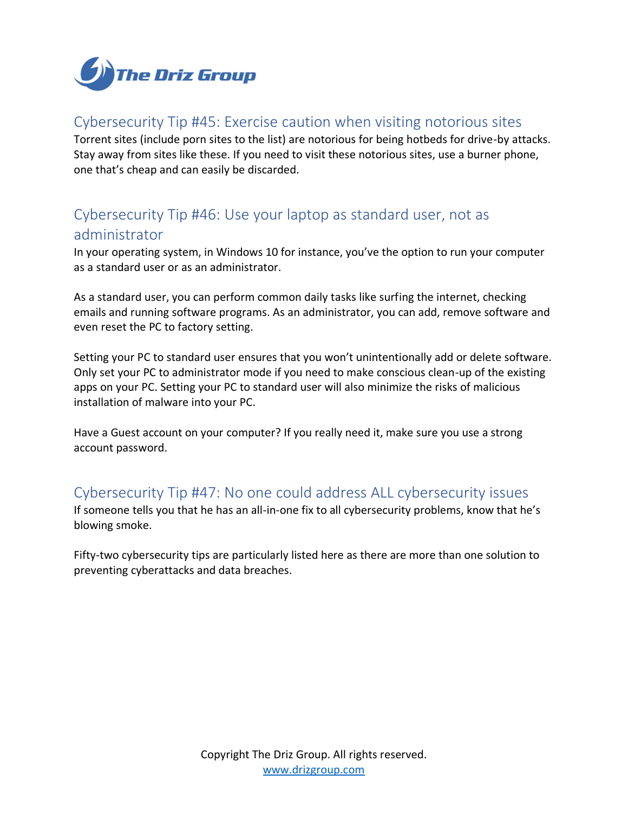

## <span id="page-16-0"></span>Cybersecurity Tip #45: Exercise caution when visiting notorious sites

Torrent sites (include porn sites to the list) are notorious for being hotbeds for drive-by attacks. Stay away from sites like these. If you need to visit these notorious sites, use a burner phone, one that's cheap and can easily be discarded.

# <span id="page-16-1"></span>Cybersecurity Tip #46: Use your laptop as standard user, not as administrator

In your operating system, in Windows 10 for instance, you've the option to run your computer as a standard user or as an administrator.

As a standard user, you can perform common daily tasks like surfing the internet, checking emails and running software programs. As an administrator, you can add, remove software and even reset the PC to factory setting.

Setting your PC to standard user ensures that you won't unintentionally add or delete software. Only set your PC to administrator mode if you need to make conscious clean-up of the existing apps on your PC. Setting your PC to standard user will also minimize the risks of malicious installation of malware into your PC.

Have a Guest account on your computer? If you really need it, make sure you use a strong account password.

#### <span id="page-16-2"></span>Cybersecurity Tip #47: No one could address ALL cybersecurity issues

If someone tells you that he has an all-in-one fix to all cybersecurity problems, know that he's blowing smoke.

Fifty-two cybersecurity tips are particularly listed here as there are more than one solution to preventing cyberattacks and data breaches.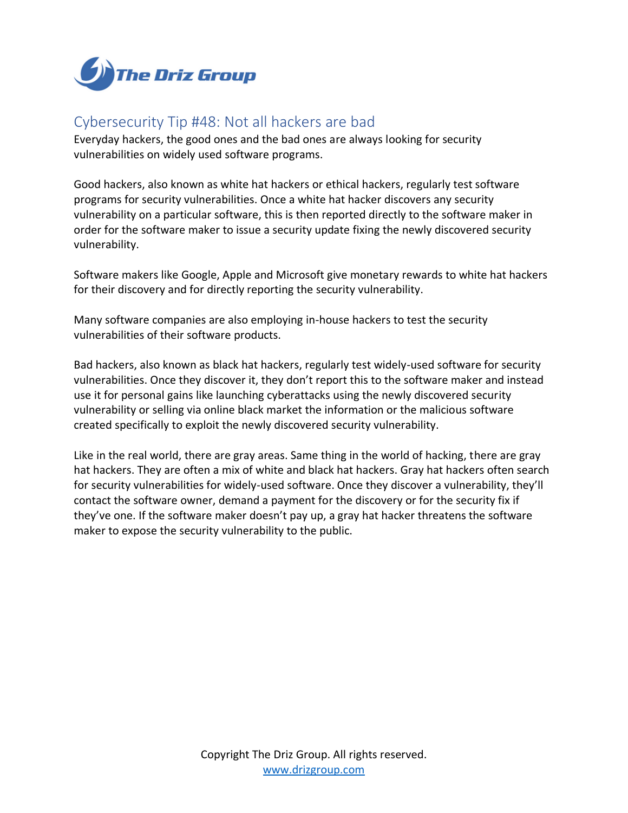

## <span id="page-17-0"></span>Cybersecurity Tip #48: Not all hackers are bad

Everyday hackers, the good ones and the bad ones are always looking for security vulnerabilities on widely used software programs.

Good hackers, also known as white hat hackers or ethical hackers, regularly test software programs for security vulnerabilities. Once a white hat hacker discovers any security vulnerability on a particular software, this is then reported directly to the software maker in order for the software maker to issue a security update fixing the newly discovered security vulnerability.

Software makers like Google, Apple and Microsoft give monetary rewards to white hat hackers for their discovery and for directly reporting the security vulnerability.

Many software companies are also employing in-house hackers to test the security vulnerabilities of their software products.

Bad hackers, also known as black hat hackers, regularly test widely-used software for security vulnerabilities. Once they discover it, they don't report this to the software maker and instead use it for personal gains like launching cyberattacks using the newly discovered security vulnerability or selling via online black market the information or the malicious software created specifically to exploit the newly discovered security vulnerability.

Like in the real world, there are gray areas. Same thing in the world of hacking, there are gray hat hackers. They are often a mix of white and black hat hackers. Gray hat hackers often search for security vulnerabilities for widely-used software. Once they discover a vulnerability, they'll contact the software owner, demand a payment for the discovery or for the security fix if they've one. If the software maker doesn't pay up, a gray hat hacker threatens the software maker to expose the security vulnerability to the public.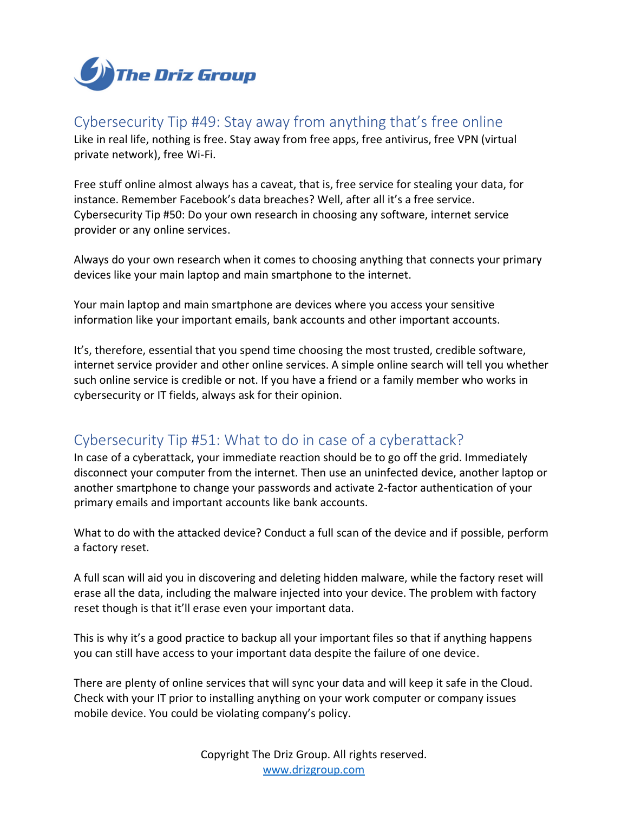

# <span id="page-18-0"></span>Cybersecurity Tip #49: Stay away from anything that's free online

Like in real life, nothing is free. Stay away from free apps, free antivirus, free VPN (virtual private network), free Wi-Fi.

Free stuff online almost always has a caveat, that is, free service for stealing your data, for instance. Remember Facebook's data breaches? Well, after all it's a free service. Cybersecurity Tip #50: Do your own research in choosing any software, internet service provider or any online services.

Always do your own research when it comes to choosing anything that connects your primary devices like your main laptop and main smartphone to the internet.

Your main laptop and main smartphone are devices where you access your sensitive information like your important emails, bank accounts and other important accounts.

It's, therefore, essential that you spend time choosing the most trusted, credible software, internet service provider and other online services. A simple online search will tell you whether such online service is credible or not. If you have a friend or a family member who works in cybersecurity or IT fields, always ask for their opinion.

# <span id="page-18-1"></span>Cybersecurity Tip #51: What to do in case of a cyberattack?

In case of a cyberattack, your immediate reaction should be to go off the grid. Immediately disconnect your computer from the internet. Then use an uninfected device, another laptop or another smartphone to change your passwords and activate 2-factor authentication of your primary emails and important accounts like bank accounts.

What to do with the attacked device? Conduct a full scan of the device and if possible, perform a factory reset.

A full scan will aid you in discovering and deleting hidden malware, while the factory reset will erase all the data, including the malware injected into your device. The problem with factory reset though is that it'll erase even your important data.

This is why it's a good practice to backup all your important files so that if anything happens you can still have access to your important data despite the failure of one device.

There are plenty of online services that will sync your data and will keep it safe in the Cloud. Check with your IT prior to installing anything on your work computer or company issues mobile device. You could be violating company's policy.

> Copyright The Driz Group. All rights reserved. [www.drizgroup.com](mailto:https://www.drizgroup.com)